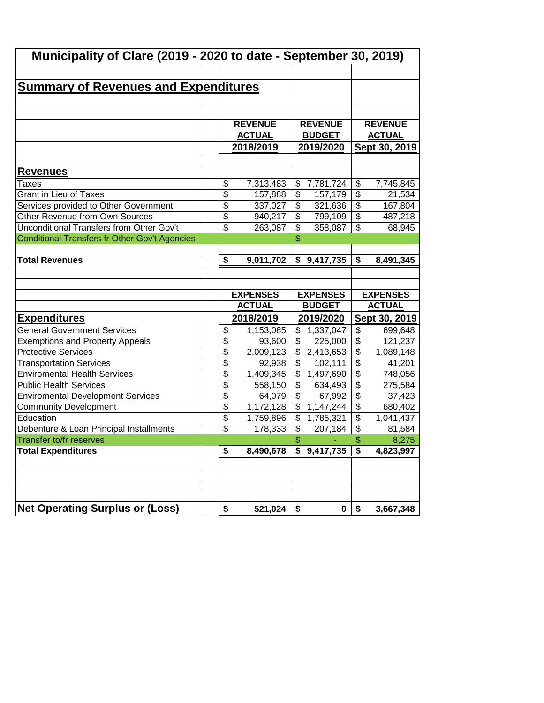| Municipality of Clare (2019 - 2020 to date - September 30, 2019) |                              |                                       |                                                   |  |  |  |  |  |
|------------------------------------------------------------------|------------------------------|---------------------------------------|---------------------------------------------------|--|--|--|--|--|
|                                                                  |                              |                                       |                                                   |  |  |  |  |  |
| <b>Summary of Revenues and Expenditures</b>                      |                              |                                       |                                                   |  |  |  |  |  |
|                                                                  |                              |                                       |                                                   |  |  |  |  |  |
|                                                                  |                              |                                       |                                                   |  |  |  |  |  |
|                                                                  | <b>REVENUE</b>               | <b>REVENUE</b>                        | <b>REVENUE</b>                                    |  |  |  |  |  |
|                                                                  | <b>ACTUAL</b>                | <b>BUDGET</b>                         | <b>ACTUAL</b>                                     |  |  |  |  |  |
|                                                                  | 2018/2019                    | 2019/2020                             | Sept 30, 2019                                     |  |  |  |  |  |
|                                                                  |                              |                                       |                                                   |  |  |  |  |  |
| <b>Revenues</b>                                                  |                              |                                       |                                                   |  |  |  |  |  |
| Taxes                                                            | \$<br>7,313,483              | \$<br>7,781,724                       | \$<br>7,745,845                                   |  |  |  |  |  |
| <b>Grant in Lieu of Taxes</b>                                    | \$<br>157,888                | \$<br>157,179                         | $\overline{\$}$<br>21,534                         |  |  |  |  |  |
| Services provided to Other Government                            | \$<br>337,027                | \$<br>321,636                         | $\overline{\$}$<br>167,804                        |  |  |  |  |  |
| Other Revenue from Own Sources                                   | \$<br>940,217                | \$<br>799,109                         | $\overline{\$}$<br>487,218                        |  |  |  |  |  |
| Unconditional Transfers from Other Gov't                         | \$<br>263,087                | \$<br>358,087                         | $\overline{\mathcal{S}}$<br>68,945                |  |  |  |  |  |
| Conditional Transfers fr Other Gov't Agencies                    |                              | \$                                    |                                                   |  |  |  |  |  |
|                                                                  |                              |                                       |                                                   |  |  |  |  |  |
| <b>Total Revenues</b>                                            | 9,011,702<br>\$              | \$9,417,735                           | $\overline{\boldsymbol{\mathsf{s}}}$<br>8,491,345 |  |  |  |  |  |
|                                                                  |                              |                                       |                                                   |  |  |  |  |  |
|                                                                  |                              |                                       |                                                   |  |  |  |  |  |
|                                                                  |                              |                                       |                                                   |  |  |  |  |  |
|                                                                  | <b>EXPENSES</b>              | <b>EXPENSES</b>                       | <b>EXPENSES</b>                                   |  |  |  |  |  |
|                                                                  | <b>ACTUAL</b>                | <b>BUDGET</b>                         | <b>ACTUAL</b>                                     |  |  |  |  |  |
| <b>Expenditures</b>                                              | 2018/2019                    | 2019/2020                             | Sept 30, 2019                                     |  |  |  |  |  |
| <b>General Government Services</b>                               | \$<br>1,153,085              | \$<br>1,337,047                       | \$<br>699,648                                     |  |  |  |  |  |
| <b>Exemptions and Property Appeals</b>                           | $\overline{\$}$<br>93,600    | \$<br>225,000                         | $\overline{\$}$<br>121,237                        |  |  |  |  |  |
| <b>Protective Services</b>                                       | \$<br>2,009,123              | \$<br>2,413,653                       | $\overline{\$}$<br>1,089,148                      |  |  |  |  |  |
| <b>Transportation Services</b>                                   | \$<br>92,938                 | \$<br>102,111                         | $\overline{\$}$<br>41,201                         |  |  |  |  |  |
| <b>Enviromental Health Services</b>                              | \$<br>1,409,345              | \$<br>1,497,690                       | $\overline{\$}$<br>748,056                        |  |  |  |  |  |
| <b>Public Health Services</b>                                    | $\overline{\$}$<br>558,150   | \$<br>634,493                         | $\overline{\$}$<br>275,584                        |  |  |  |  |  |
| <b>Enviromental Development Services</b>                         | $\overline{\$}$<br>64,079    | $\overline{\mathcal{L}}$<br>67,992    | $\overline{\$}$<br>37,423                         |  |  |  |  |  |
| <b>Community Development</b>                                     | $\overline{\$}$<br>1,172,128 | $\overline{\mathcal{L}}$<br>1,147,244 | $\overline{\$}$<br>680,402                        |  |  |  |  |  |
| Education                                                        | \$<br>1,759,896              | $\overline{\mathcal{S}}$<br>1,785,321 | $\overline{\$}$<br>1,041,437                      |  |  |  |  |  |
| Debenture & Loan Principal Installments                          | \$<br>178,333                | \$<br>207,184                         | \$<br>81,584                                      |  |  |  |  |  |
| Transfer to/fr reserves                                          |                              | \$                                    | \$<br>8,275                                       |  |  |  |  |  |
| <b>Total Expenditures</b>                                        | 8,490,678<br>\$              | $\overline{9,417,735}$                | \$<br>4,823,997                                   |  |  |  |  |  |
|                                                                  |                              |                                       |                                                   |  |  |  |  |  |
|                                                                  |                              |                                       |                                                   |  |  |  |  |  |
|                                                                  |                              |                                       |                                                   |  |  |  |  |  |
| <b>Net Operating Surplus or (Loss)</b>                           |                              |                                       |                                                   |  |  |  |  |  |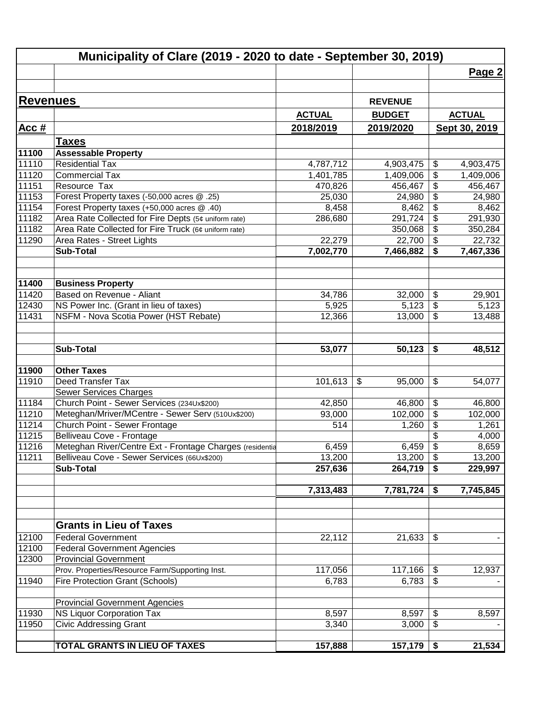|                 | Municipality of Clare (2019 - 2020 to date - September 30, 2019) |                      |                        |                              |                      |
|-----------------|------------------------------------------------------------------|----------------------|------------------------|------------------------------|----------------------|
|                 |                                                                  |                      |                        |                              | Page 2               |
|                 |                                                                  |                      |                        |                              |                      |
| <b>Revenues</b> |                                                                  |                      | <b>REVENUE</b>         |                              |                      |
|                 |                                                                  | <b>ACTUAL</b>        | <b>BUDGET</b>          |                              | <b>ACTUAL</b>        |
| Acc $#$         |                                                                  | 2018/2019            | 2019/2020              |                              | Sept 30, 2019        |
|                 |                                                                  |                      |                        |                              |                      |
|                 | <u>Taxes</u>                                                     |                      |                        |                              |                      |
| 11100           | <b>Assessable Property</b><br><b>Residential Tax</b>             |                      |                        |                              |                      |
| 11110<br>11120  | <b>Commercial Tax</b>                                            | 4,787,712            | 4,903,475<br>1,409,006 | \$                           | 4,903,475            |
| 11151           | Resource Tax                                                     | 1,401,785<br>470,826 | 456,467                | \$<br>\$                     | 1,409,006<br>456,467 |
| 11153           | Forest Property taxes (-50,000 acres @ .25)                      | 25,030               | 24,980                 | \$                           | 24,980               |
| 11154           | Forest Property taxes (+50,000 acres @ .40)                      | 8,458                | 8,462                  | \$                           | 8,462                |
| 11182           | Area Rate Collected for Fire Depts (5¢ uniform rate)             | 286,680              | 291,724                | $\overline{\$}$              | 291,930              |
| 11182           | Area Rate Collected for Fire Truck (6¢ uniform rate)             |                      | 350,068                | \$                           | 350,284              |
| 11290           | Area Rates - Street Lights                                       | 22,279               | 22,700                 | $\overline{\mathbf{S}}$      | 22,732               |
|                 | <b>Sub-Total</b>                                                 | 7,002,770            | 7,466,882              | \$                           | 7,467,336            |
|                 |                                                                  |                      |                        |                              |                      |
|                 |                                                                  |                      |                        |                              |                      |
| 11400           | <b>Business Property</b>                                         |                      |                        |                              |                      |
| 11420           | Based on Revenue - Aliant                                        | 34,786               | 32,000                 | \$                           | 29,901               |
| 12430           | NS Power Inc. (Grant in lieu of taxes)                           | 5,925                | 5,123                  | $\overline{\mathbf{G}}$      | 5,123                |
| 11431           | NSFM - Nova Scotia Power (HST Rebate)                            | 12,366               | 13,000                 | $\overline{\mathbf{S}}$      | 13,488               |
|                 |                                                                  |                      |                        |                              |                      |
|                 |                                                                  |                      |                        |                              |                      |
|                 | <b>Sub-Total</b>                                                 | 53,077               | 50,123                 | \$                           | 48,512               |
|                 |                                                                  |                      |                        |                              |                      |
| 11900           | <b>Other Taxes</b>                                               |                      |                        |                              |                      |
| 11910           | Deed Transfer Tax                                                | 101,613              | \$<br>95,000           | \$                           | 54,077               |
|                 | <b>Sewer Services Charges</b>                                    |                      |                        |                              |                      |
| 11184           | Church Point - Sewer Services (234Ux\$200)                       | 42,850               | 46,800                 | \$                           | 46,800               |
| 11210           | Meteghan/Mriver/MCentre - Sewer Serv (510Ux\$200)                | 93,000               | 102,000                | $\overline{\mathbf{S}}$      | 102,000              |
| 11214           | Church Point - Sewer Frontage                                    | 514                  | 1,260                  | $\overline{\mathbf{S}}$      | 1,261                |
| 11215           | Belliveau Cove - Frontage                                        |                      |                        | \$                           | 4,000                |
| 11216           | Meteghan River/Centre Ext - Frontage Charges (residentia         | 6,459                | $6,459$ \$             |                              | 8,659                |
| 11211           | Belliveau Cove - Sewer Services (66Ux\$200)                      | 13,200               | 13,200                 | $\sqrt[6]{\frac{1}{2}}$      | 13,200               |
|                 | Sub-Total                                                        | 257,636              | 264,719                | \$                           | 229,997              |
|                 |                                                                  |                      |                        |                              |                      |
|                 |                                                                  | 7,313,483            | 7,781,724              | \$                           | 7,745,845            |
|                 |                                                                  |                      |                        |                              |                      |
|                 | <b>Grants in Lieu of Taxes</b>                                   |                      |                        |                              |                      |
| 12100           | <b>Federal Government</b>                                        | 22,112               | 21,633                 | \$                           |                      |
| 12100           | <b>Federal Government Agencies</b>                               |                      |                        |                              |                      |
| 12300           | <b>Provincial Government</b>                                     |                      |                        |                              |                      |
|                 | Prov. Properties/Resource Farm/Supporting Inst.                  | 117,056              | 117,166                | $\boldsymbol{\hat{\varphi}}$ | 12,937               |
| 11940           | <b>Fire Protection Grant (Schools)</b>                           | 6,783                | 6,783                  | \$                           |                      |
|                 |                                                                  |                      |                        |                              |                      |
|                 | <b>Provincial Government Agencies</b>                            |                      |                        |                              |                      |
| 11930           | <b>NS Liquor Corporation Tax</b>                                 | 8,597                | 8,597                  | \$                           | 8,597                |
| 11950           | <b>Civic Addressing Grant</b>                                    | 3,340                | 3,000                  | \$                           |                      |
|                 |                                                                  |                      |                        |                              |                      |
|                 | TOTAL GRANTS IN LIEU OF TAXES                                    | 157,888              | 157,179                | \$                           | 21,534               |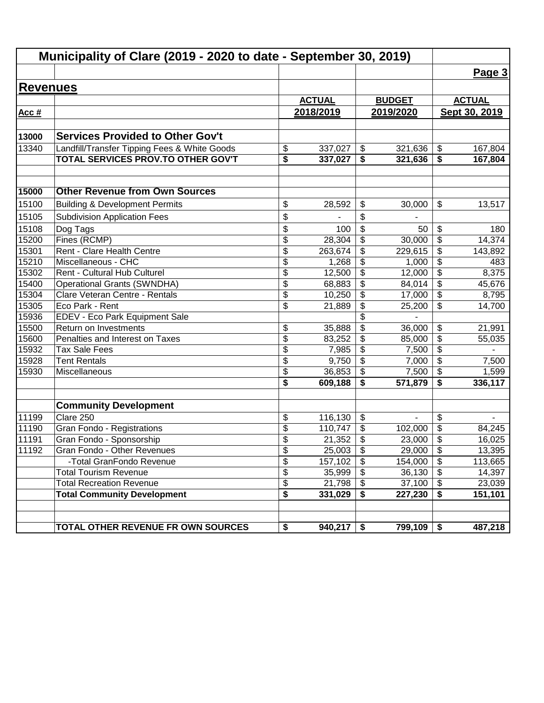|                 | Municipality of Clare (2019 - 2020 to date - September 30, 2019) |                          |               |                                        |               |                                        |               |
|-----------------|------------------------------------------------------------------|--------------------------|---------------|----------------------------------------|---------------|----------------------------------------|---------------|
|                 |                                                                  |                          |               |                                        |               |                                        | Page 3        |
| <b>Revenues</b> |                                                                  |                          |               |                                        |               |                                        |               |
|                 |                                                                  |                          | <b>ACTUAL</b> |                                        | <b>BUDGET</b> |                                        | <b>ACTUAL</b> |
| Acc #           |                                                                  |                          | 2018/2019     |                                        | 2019/2020     |                                        | Sept 30, 2019 |
|                 |                                                                  |                          |               |                                        |               |                                        |               |
| 13000           | <b>Services Provided to Other Gov't</b>                          |                          |               |                                        |               |                                        |               |
| 13340           | Landfill/Transfer Tipping Fees & White Goods                     | \$                       | 337,027       | $\boldsymbol{\hat{\varphi}}$           | 321,636       | \$                                     | 167,804       |
|                 | TOTAL SERVICES PROV.TO OTHER GOV'T                               | \$                       | 337,027       | \$                                     | 321,636       | \$                                     | 167,804       |
|                 |                                                                  |                          |               |                                        |               |                                        |               |
| 15000           | <b>Other Revenue from Own Sources</b>                            |                          |               |                                        |               |                                        |               |
| 15100           | <b>Building &amp; Development Permits</b>                        | \$                       | 28,592        | \$                                     | 30,000        | \$                                     | 13,517        |
| 15105           | <b>Subdivision Application Fees</b>                              | \$                       |               | \$                                     |               |                                        |               |
| 15108           | Dog Tags                                                         | \$                       | 100           | \$                                     | 50            | \$                                     | 180           |
| 15200           | Fines (RCMP)                                                     | $\overline{\mathcal{S}}$ | 28,304        | \$                                     | 30,000        | $\overline{\boldsymbol{\mathsf{s}}}$   | 14,374        |
| 15301           | Rent - Clare Health Centre                                       | $\overline{\mathcal{S}}$ | 263,674       | \$                                     | 229,615       | \$                                     | 143,892       |
| 15210           | Miscellaneous - CHC                                              | \$                       | 1,268         | \$                                     | 1,000         | \$                                     | 483           |
| 15302           | Rent - Cultural Hub Culturel                                     | \$                       | 12,500        | \$                                     | 12,000        | $\overline{\boldsymbol{\theta}}$       | 8,375         |
| 15400           | <b>Operational Grants (SWNDHA)</b>                               | $\overline{\mathcal{S}}$ | 68,883        | $\overline{\mathbf{e}}$                | 84,014        | $\overline{\boldsymbol{\theta}}$       | 45,676        |
| 15304           | Clare Veteran Centre - Rentals                                   | \$                       | 10,250        | \$                                     | 17,000        | $\overline{\mathbf{S}}$                | 8,795         |
| 15305           | Eco Park - Rent                                                  | \$                       | 21,889        | $\overline{\mathbf{e}}$                | 25,200        | \$                                     | 14,700        |
| 15936           | EDEV - Eco Park Equipment Sale                                   |                          |               | $\overline{\$}$                        |               |                                        |               |
| 15500           | Return on Investments                                            | \$                       | 35,888        | $\overline{\$}$                        | 36,000        | \$                                     | 21,991        |
| 15600           | Penalties and Interest on Taxes                                  | $\overline{\$}$          | 83,252        | \$                                     | 85,000        | $\overline{\$}$                        | 55,035        |
| 15932           | <b>Tax Sale Fees</b>                                             | $\overline{\$}$          | 7,985         | $\overline{\$}$                        | 7,500         | $\overline{\$}$                        |               |
| 15928           | <b>Tent Rentals</b>                                              | \$                       | 9,750         | $\overline{\mathcal{S}}$               | 7,000         | $\overline{\mathcal{L}}$               | 7,500         |
| 15930           | Miscellaneous                                                    | \$                       | 36,853        | \$                                     | 7,500         | $\overline{\$}$                        | 1,599         |
|                 |                                                                  | \$                       | 609,188       | \$                                     | 571,879       | \$                                     | 336,117       |
|                 | <b>Community Development</b>                                     |                          |               |                                        |               |                                        |               |
| 11199           | Clare 250                                                        | \$                       | 116,130       | \$                                     | ä,            | \$                                     |               |
| 11190           | Gran Fondo - Registrations                                       | \$                       | 110,747       | \$                                     | 102,000       | \$                                     | 84,245        |
| 11191           | Gran Fondo - Sponsorship                                         | \$                       | 21,352        | \$                                     | 23,000        | \$                                     | 16,025        |
| 11192           | Gran Fondo - Other Revenues                                      | \$                       | 25,003        | $\boldsymbol{\mathsf{S}}$              | 29,000        | \$                                     | 13,395        |
|                 | -Total GranFondo Revenue                                         | $\overline{\mathcal{S}}$ | 157,102       | $\overline{\boldsymbol{\mathfrak{s}}}$ | 154,000       | $\overline{\boldsymbol{\mathfrak{s}}}$ | 113,665       |
|                 | <b>Total Tourism Revenue</b>                                     | \$                       | 35,999        | \$                                     | 36,130        | $\boldsymbol{\mathsf{S}}$              | 14,397        |
|                 | <b>Total Recreation Revenue</b>                                  | $\overline{\mathcal{S}}$ | 21,798        | \$                                     | 37,100        | $\boldsymbol{\mathsf{S}}$              | 23,039        |
|                 | <b>Total Community Development</b>                               | \$                       | 331,029       | \$                                     | 227,230       | \$                                     | 151,101       |
|                 | TOTAL OTHER REVENUE FR OWN SOURCES                               | \$                       | 940,217       | \$                                     | 799,109       | \$                                     | 487,218       |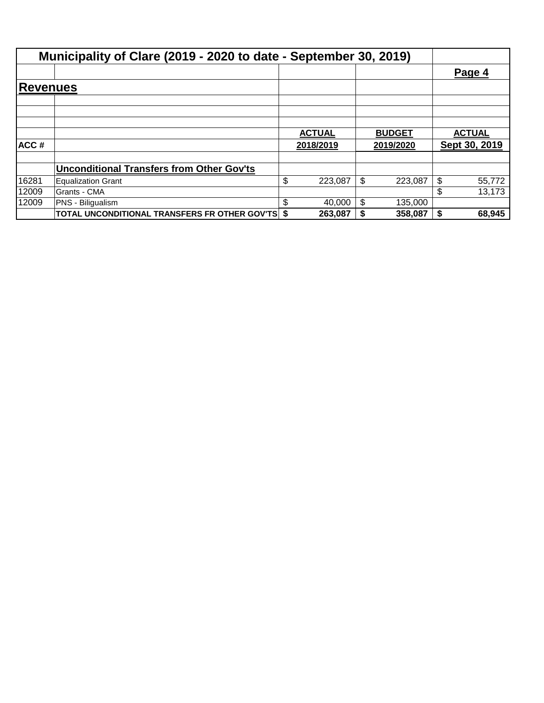|                  | Municipality of Clare (2019 - 2020 to date - September 30, 2019) |               |               |    |               |
|------------------|------------------------------------------------------------------|---------------|---------------|----|---------------|
|                  |                                                                  |               |               |    | Page 4        |
| Reve <u>nues</u> |                                                                  |               |               |    |               |
|                  |                                                                  |               |               |    |               |
|                  |                                                                  |               |               |    |               |
|                  |                                                                  | <b>ACTUAL</b> | <b>BUDGET</b> |    | <b>ACTUAL</b> |
| ACC#             |                                                                  | 2018/2019     | 2019/2020     |    | Sept 30, 2019 |
|                  | <b>Unconditional Transfers from Other Gov'ts</b>                 |               |               |    |               |
| 16281            | <b>Equalization Grant</b>                                        | \$<br>223,087 | \$<br>223,087 | S  | 55,772        |
| 12009            | Grants - CMA                                                     |               |               |    | 13,173        |
| 12009            | <b>PNS - Biliqualism</b>                                         | \$<br>40,000  | \$<br>135,000 |    |               |
|                  | <b>TOTAL UNCONDITIONAL TRANSFERS FR OTHER GOV'TS \$</b>          | 263,087       | 358,087       | S. | 68,945        |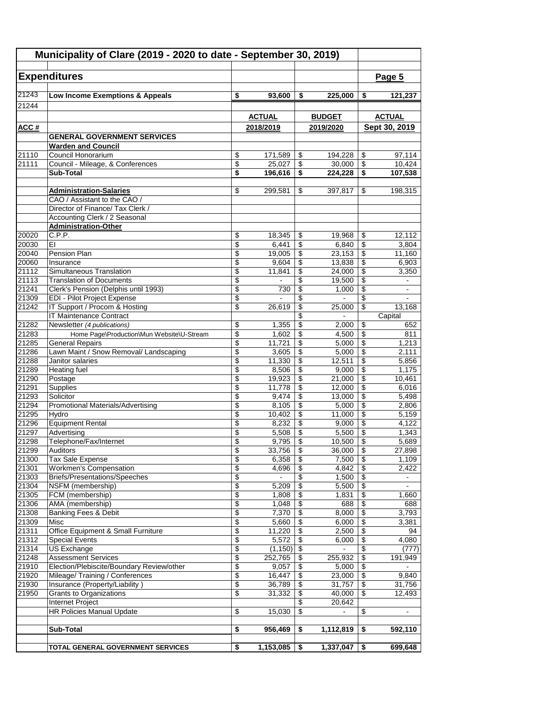| Municipality of Clare (2019 - 2020 to date - September 30, 2019) |                                                                     |                          |                 |                                      |                 |                                      |                   |
|------------------------------------------------------------------|---------------------------------------------------------------------|--------------------------|-----------------|--------------------------------------|-----------------|--------------------------------------|-------------------|
|                                                                  | <b>Expenditures</b>                                                 |                          |                 |                                      |                 |                                      | Page 5            |
| 21243                                                            | Low Income Exemptions & Appeals                                     | \$                       | 93,600          | \$                                   | 225,000         |                                      | 121,237           |
| 21244                                                            |                                                                     |                          |                 |                                      |                 | \$                                   |                   |
|                                                                  |                                                                     |                          | <b>ACTUAL</b>   |                                      | <b>BUDGET</b>   |                                      | <b>ACTUAL</b>     |
| ACC#                                                             |                                                                     |                          | 2018/2019       |                                      | 2019/2020       |                                      | Sept 30, 2019     |
|                                                                  | <b>GENERAL GOVERNMENT SERVICES</b>                                  |                          |                 |                                      |                 |                                      |                   |
|                                                                  | <b>Warden and Council</b>                                           |                          |                 |                                      |                 |                                      |                   |
| 21110                                                            | Council Honorarium                                                  | \$                       | 171,589         | \$                                   | 194,228         | \$                                   | 97,114            |
| 21111                                                            | Council - Mileage, & Conferences                                    | \$                       | 25.027          | $\overline{\boldsymbol{\theta}}$     | 30,000          | $\overline{\mathcal{E}}$             | 10,424            |
|                                                                  | <b>Sub-Total</b>                                                    | \$                       | 196,616         | $\overline{\boldsymbol{\mathsf{s}}}$ | 224,228         | $\overline{\boldsymbol{\mathsf{s}}}$ | 107,538           |
|                                                                  |                                                                     |                          |                 |                                      |                 |                                      |                   |
|                                                                  | <b>Administration-Salaries</b><br>CAO / Assistant to the CAO /      | \$                       | 299,581         | \$                                   | 397,817         | \$                                   | 198,315           |
|                                                                  | Director of Finance/ Tax Clerk /                                    |                          |                 |                                      |                 |                                      |                   |
|                                                                  | Accounting Clerk / 2 Seasonal                                       |                          |                 |                                      |                 |                                      |                   |
|                                                                  | <b>Administration-Other</b>                                         |                          |                 |                                      |                 |                                      |                   |
| 20020                                                            | C.P.P.                                                              | \$                       | 18,345          | \$                                   | 19,968          | \$                                   | 12,112            |
| 20030                                                            | EI                                                                  | \$                       | 6,441           | \$                                   | 6,840           | \$                                   | 3,804             |
| 20040                                                            | Pension Plan                                                        | \$                       | 19,005          | \$                                   | 23,153          | \$                                   | 11,160            |
| 20060                                                            | Insurance                                                           | \$                       | 9,604           | \$                                   | 13,838          | \$                                   | 6,903             |
| 21112                                                            | Simultaneous Translation                                            | \$                       | 11,841          | \$                                   | 24,000          | \$                                   | 3,350             |
| 21113                                                            | <b>Translation of Documents</b>                                     | \$                       |                 | \$                                   | 19,500          | \$                                   | $\blacksquare$    |
| 21241                                                            | Clerk's Pension (Delphis until 1993)                                | \$                       | 730             | \$                                   | 1,000           | $\overline{\$}$                      | $\blacksquare$    |
| 21309                                                            | <b>EDI - Pilot Project Expense</b><br>IT Support / Procom & Hosting | \$<br>\$                 |                 | \$                                   |                 | \$<br>$\overline{\$}$                |                   |
| 21242                                                            | IT Maintenance Contract                                             |                          | 26,619          | \$<br>\$                             | 25,000          |                                      | 13,168<br>Capital |
| 21282                                                            | Newsletter (4 publications)                                         | \$                       | 1,355           | \$                                   | 2,000           | \$                                   | 652               |
| 21283                                                            | Home Page\Production\Mun Website\U-Stream                           | \$                       | 1,602           | \$                                   | 4,500           | \$                                   | 811               |
| 21285                                                            | <b>General Repairs</b>                                              | \$                       | 11,721          | \$                                   | 5,000           | \$                                   | 1,213             |
| 21286                                                            | Lawn Maint / Snow Removal/ Landscaping                              | \$                       | 3,605           | \$                                   | 5,000           | \$                                   | 2,111             |
| 21288                                                            | Janitor salaries                                                    | \$                       | 11,330          | \$                                   | 12,511          | \$                                   | 5,856             |
| 21289                                                            | <b>Heating fuel</b>                                                 | \$                       | 8,506           | \$                                   | 9,000           | $\overline{\$}$                      | 1,175             |
| 21290                                                            | Postage                                                             | \$                       | 19,923          | \$                                   | 21,000          | \$                                   | 10,461            |
| 21291                                                            | Supplies                                                            | \$                       | 11,778          | \$                                   | 12,000          | $\overline{\$}$                      | 6,016             |
| 21293                                                            | Solicitor                                                           | \$                       | 9,474           | \$                                   | 13,000          | \$                                   | 5,498             |
| 21294                                                            | Promotional Materials/Advertising<br>Hvdro                          | \$                       | 8,105           | \$                                   | 5,000           | \$                                   | 2,806             |
| 21295<br>21296                                                   | <b>Equipment Rental</b>                                             | \$<br>\$                 | 10,402<br>8,232 | $\overline{\mathcal{S}}$<br>\$       | 11,000<br>9,000 | $\overline{\mathcal{S}}$<br>\$       | 5,159<br>4,122    |
| 21297                                                            | Advertising                                                         | \$                       | 5,508           | \$                                   | 5,500           | \$                                   | 1,343             |
| 21298                                                            | Telephone/Fax/Internet                                              | \$                       | 9,795           | \$                                   | 10,500          | $\overline{\$}$                      | 5,689             |
| 21299                                                            | Auditors                                                            | \$                       | 33,756          | \$                                   | 36,000          | \$                                   | 27,898            |
| 21300                                                            | Tax Sale Expense                                                    | \$                       | 6,358           | \$                                   | 7,500           | $\overline{\$}$                      | 1,109             |
| 21301                                                            | <b>Workmen's Compensation</b>                                       | \$                       | 4,696           | \$                                   | 4,842           | $\overline{\mathcal{E}}$             | 2,422             |
| 21303                                                            | <b>Briefs/Presentations/Speeches</b>                                | \$                       | $\blacksquare$  | \$                                   | 1,500           | $\overline{\mathbf{e}}$              | $\blacksquare$    |
| 21304                                                            | NSFM (membership)                                                   | \$                       | 5,209           | \$                                   | 5,500           | $\overline{\mathbf{e}}$              | $\blacksquare$    |
| 21305                                                            | FCM (membership)                                                    | \$                       | 1,808           | $\overline{\mathbf{e}}$              | 1,831           | \$                                   | 1,660             |
| 21306                                                            | AMA (membership)                                                    | \$                       | 1,048           | \$                                   | 688             | $\overline{\mathcal{E}}$             | 688               |
| 21308                                                            | <b>Banking Fees &amp; Debit</b>                                     | \$                       | 7,370           | \$                                   | 8,000           | \$                                   | 3,793             |
| 21309<br>21311                                                   | Misc<br>Office Equipment & Small Furniture                          | $\overline{\$}$<br>\$    | 5,660<br>11,220 | $\overline{\$}$<br>\$                | 6,000<br>2,500  | $\overline{\$}$<br>$\overline{\$}$   | 3,381<br>94       |
| 21312                                                            | <b>Special Events</b>                                               | \$                       | 5,572           | $\overline{\boldsymbol{\epsilon}}$   | 6,000           | $\overline{\$}$                      | 4,080             |
| 21314                                                            | US Exchange                                                         | $\overline{\mathcal{E}}$ | (1, 150)        | $\overline{\mathbf{S}}$              | $\blacksquare$  | \$                                   | (777)             |
| 21248                                                            | <b>Assessment Services</b>                                          | \$                       | 252,765         | \$                                   | 255,932         | \$                                   | 191,949           |
| 21910                                                            | Election/Plebiscite/Boundary Review/other                           | \$                       | 9,057           | \$                                   | 5,000           | $\overline{\mathbf{e}}$              |                   |
| 21920                                                            | Mileage/ Training / Conferences                                     | \$                       | 16,447          | \$                                   | 23,000          | \$                                   | 9,840             |
| 21930                                                            | Insurance (Property/Liability)                                      | \$                       | 36,789          | \$                                   | 31,757          | $\overline{\$}$                      | 31,756            |
| 21950                                                            | <b>Grants to Organizations</b>                                      | \$                       | 31,332          | \$                                   | 40,000          | \$                                   | 12,493            |
|                                                                  | Internet Project                                                    |                          |                 | \$                                   | 20,642          |                                      |                   |
|                                                                  | <b>HR Policies Manual Update</b>                                    | \$                       | 15,030          | \$                                   |                 | \$                                   |                   |
|                                                                  | Sub-Total                                                           | \$                       | 956,469         | \$                                   | 1,112,819       | \$                                   | 592,110           |
|                                                                  |                                                                     |                          |                 |                                      |                 |                                      |                   |
|                                                                  | TOTAL GENERAL GOVERNMENT SERVICES                                   | \$                       | 1,153,085       | -\$                                  | 1,337,047       | \$                                   | 699,648           |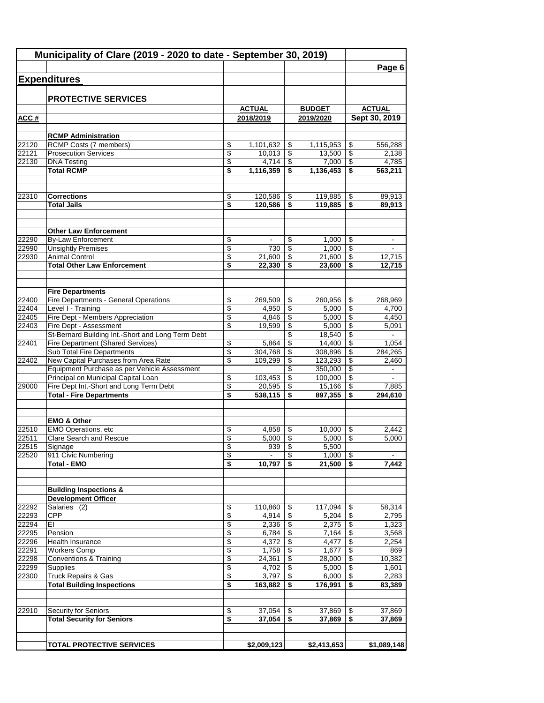|                | Municipality of Clare (2019 - 2020 to date - September 30, 2019)               |                 |                   |          |                       |                      | Page 6                   |
|----------------|--------------------------------------------------------------------------------|-----------------|-------------------|----------|-----------------------|----------------------|--------------------------|
|                | <b>Expenditures</b>                                                            |                 |                   |          |                       |                      |                          |
|                |                                                                                |                 |                   |          |                       |                      |                          |
|                | <b>PROTECTIVE SERVICES</b>                                                     |                 |                   |          |                       |                      |                          |
|                |                                                                                |                 | <b>ACTUAL</b>     |          | <b>BUDGET</b>         |                      | <b>ACTUAL</b>            |
| ACC#           |                                                                                |                 | 2018/2019         |          | 2019/2020             |                      | Sept 30, 2019            |
|                |                                                                                |                 |                   |          |                       |                      |                          |
| 22120          | <b>RCMP Administration</b><br><b>RCMP Costs (7 members)</b>                    | \$              | 1,101,632         | \$       | 1,115,953             | \$                   | 556,288                  |
| 22121          | <b>Prosecution Services</b>                                                    | \$              | 10,013            | \$       | 13,500                | \$                   | 2,138                    |
| 22130          | <b>DNA Testing</b>                                                             | \$              | 4,714             | \$       | 7,000                 | \$                   | 4,785                    |
|                | <b>Total RCMP</b>                                                              | \$              | 1,116,359         | \$       | 1,136,453             | \$                   | 563,211                  |
| 22310          | <b>Corrections</b>                                                             | \$              | 120,586           | \$       | 119,885               | \$                   | 89,913                   |
|                | <b>Total Jails</b>                                                             | \$              | 120,586           | \$       | 119,885               | \$                   | 89,913                   |
|                |                                                                                |                 |                   |          |                       |                      |                          |
|                | <b>Other Law Enforcement</b>                                                   |                 |                   |          |                       |                      |                          |
| 22290          | <b>By-Law Enforcement</b>                                                      | \$              |                   | \$       | 1,000                 | \$                   |                          |
| 22990          | <b>Unsightly Premises</b>                                                      | \$              | 730               | \$       | 1,000                 | \$                   |                          |
| 22930          | <b>Animal Control</b>                                                          | \$              | 21,600            | \$       | 21,600                | \$                   | 12,715                   |
|                | <b>Total Other Law Enforcement</b>                                             | \$              | 22,330            | \$       | 23,600                | \$                   | 12,715                   |
|                |                                                                                |                 |                   |          |                       |                      |                          |
| 22400          | <b>Fire Departments</b><br>Fire Departments - General Operations               | \$              | 269,509           | \$       | 260,956               | \$                   | 268,969                  |
| 22404          | Level I - Training                                                             | $\overline{\$}$ | 4,950             | \$       | 5,000                 | \$                   | 4,700                    |
| 22405          | Fire Dept - Members Appreciation                                               | \$              | 4,846             | \$       | 5,000                 | \$                   | 4,450                    |
| 22403          | Fire Dept - Assessment                                                         | \$              | 19,599            | \$       | 5,000                 | \$                   | 5,091                    |
|                | St-Bernard Building Int.-Short and Long Term Debt                              |                 |                   | \$       | 18,540                | \$                   |                          |
| 22401          | Fire Department (Shared Services)                                              | \$              | 5,864             | \$       | 14,400                | \$                   | 1,054                    |
|                | <b>Sub Total Fire Departments</b>                                              | \$              | 304,768           | \$       | 308,896               | \$                   | 284,265                  |
| 22402          | New Capital Purchases from Area Rate                                           | \$              | 109,299           | \$       | 123,293               | \$                   | 2,460                    |
|                | Equipment Purchase as per Vehicle Assessment                                   |                 |                   | \$<br>\$ | 350,000<br>100,000    | \$<br>\$             | $\overline{\phantom{a}}$ |
| 29000          | Principal on Municipal Capital Loan<br>Fire Dept Int.-Short and Long Term Debt | \$<br>\$        | 103,453<br>20,595 | \$       | 15,166                | \$                   | 7,885                    |
|                | <b>Total - Fire Departments</b>                                                | \$              | 538,115           | \$       | 897,355               | \$                   | 294,610                  |
|                |                                                                                |                 |                   |          |                       |                      |                          |
|                | <b>EMO &amp; Other</b>                                                         |                 |                   |          |                       |                      |                          |
| 22510          | <b>EMO Operations, etc</b>                                                     | \$              | 4,858             | \$       | 10,000                | \$                   | 2.442                    |
| 22511<br>22515 | Clare Search and Rescue<br>Signage                                             | \$<br>\$        | $5,000$  <br>939  | \$<br>\$ | $5,000$   \$<br>5,500 |                      | 5,000                    |
| 22520          | 911 Civic Numbering                                                            | \$              |                   | \$       | 1,000                 | \$                   |                          |
|                | <b>Total - EMO</b>                                                             | \$              | 10,797            | \$       | 21,500                | $\overline{\bullet}$ | 7,442                    |
|                |                                                                                |                 |                   |          |                       |                      |                          |
|                | <b>Building Inspections &amp;</b><br><b>Development Officer</b>                |                 |                   |          |                       |                      |                          |
| 22292          | Salaries (2)                                                                   | \$              | 110,860           | \$       | 117,094               | \$                   | 58,314                   |
| 22293          | <b>CPP</b>                                                                     | \$              | 4,914             | \$       | 5,204                 | $\overline{\$}$      | 2,795                    |
| 22294          | EI                                                                             | \$              | 2,336             | \$       | 2,375                 | \$                   | 1,323                    |
| 22295          | Pension                                                                        | \$              | 6,784             | \$       | 7,164                 | \$                   | 3,568                    |
| 22296          | Health Insurance                                                               | \$              | 4,372             | \$       | 4,477                 | \$                   | 2,254                    |
| 22291          | <b>Workers Comp</b>                                                            | \$              | 1,758             | \$       | 1,677                 | \$                   | 869                      |
| 22298          | <b>Conventions &amp; Training</b>                                              | \$              | 24,361            | \$       | 28,000                | \$                   | 10,382                   |
| 22299          | Supplies                                                                       | \$              | 4,702             | \$       | 5,000                 | \$                   | 1,601                    |
| 22300          | Truck Repairs & Gas<br><b>Total Building Inspections</b>                       | \$<br>\$        | 3,797<br>163,882  | \$<br>\$ | 6,000<br>176,991      | \$<br>\$             | 2,283<br>83,389          |
|                |                                                                                |                 |                   |          |                       |                      |                          |
| 22910          | <b>Security for Seniors</b>                                                    | \$              | 37,054            | \$       | 37,869                | \$                   | 37,869                   |
|                | <b>Total Security for Seniors</b>                                              | \$              | 37,054            | \$       | 37,869                | \$                   | 37,869                   |
|                |                                                                                |                 |                   |          |                       |                      |                          |
|                | <b>TOTAL PROTECTIVE SERVICES</b>                                               |                 | \$2,009,123       |          | \$2,413,653           |                      | \$1,089,148              |
|                |                                                                                |                 |                   |          |                       |                      |                          |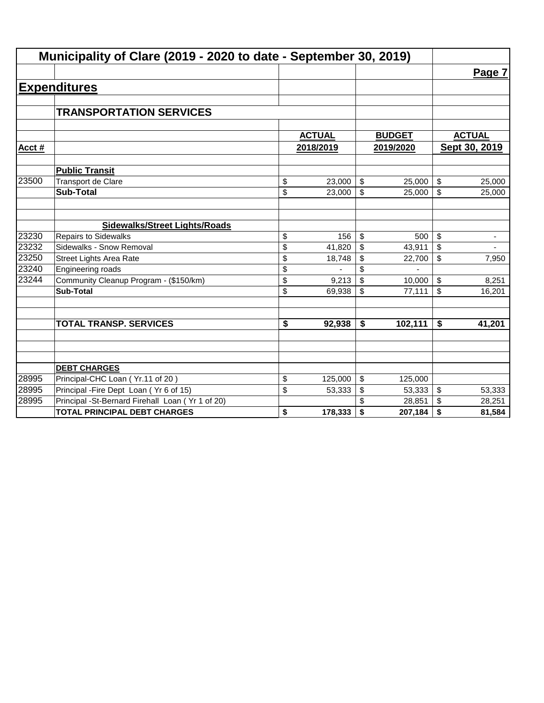|        | Municipality of Clare (2019 - 2020 to date - September 30, 2019) |               |                           |               |                                |
|--------|------------------------------------------------------------------|---------------|---------------------------|---------------|--------------------------------|
|        |                                                                  |               |                           |               | Page 7                         |
|        | <b>Expenditures</b>                                              |               |                           |               |                                |
|        |                                                                  |               |                           |               |                                |
|        | <b>TRANSPORTATION SERVICES</b>                                   |               |                           |               |                                |
|        |                                                                  |               |                           |               |                                |
|        |                                                                  | <b>ACTUAL</b> |                           | <b>BUDGET</b> | <b>ACTUAL</b>                  |
| Acct # |                                                                  | 2018/2019     |                           | 2019/2020     | Sept 30, 2019                  |
|        | <b>Public Transit</b>                                            |               |                           |               |                                |
| 23500  | <b>Transport de Clare</b>                                        | \$<br>23,000  | $\boldsymbol{\mathsf{S}}$ | 25,000        | \$<br>25,000                   |
|        | <b>Sub-Total</b>                                                 | \$<br>23,000  | \$                        | 25,000        | \$<br>25,000                   |
|        |                                                                  |               |                           |               |                                |
|        | <b>Sidewalks/Street Lights/Roads</b>                             |               |                           |               |                                |
| 23230  | <b>Repairs to Sidewalks</b>                                      | \$<br>156     | \$                        | 500           | \$<br>٠                        |
| 23232  | Sidewalks - Snow Removal                                         | \$<br>41,820  | \$                        | 43,911        | \$<br>$\overline{\phantom{a}}$ |
| 23250  | <b>Street Lights Area Rate</b>                                   | \$<br>18,748  | \$                        | 22,700        | \$<br>7,950                    |
| 23240  | Engineering roads                                                | \$            | \$                        |               |                                |
| 23244  | Community Cleanup Program - (\$150/km)                           | \$<br>9,213   | \$                        | 10,000        | \$<br>8,251                    |
|        | <b>Sub-Total</b>                                                 | \$<br>69,938  | \$                        | 77,111        | \$<br>16,201                   |
|        |                                                                  |               |                           |               |                                |
|        | <b>TOTAL TRANSP. SERVICES</b>                                    | \$<br>92,938  | \$                        | 102,111       | \$<br>41,201                   |
|        |                                                                  |               |                           |               |                                |
|        |                                                                  |               |                           |               |                                |
|        | <b>DEBT CHARGES</b>                                              |               |                           |               |                                |
| 28995  | Principal-CHC Loan (Yr.11 of 20)                                 | \$<br>125,000 | \$                        | 125,000       |                                |
| 28995  | Principal - Fire Dept Loan (Yr 6 of 15)                          | \$<br>53,333  | \$                        | 53,333        | \$<br>53,333                   |
| 28995  | Principal -St-Bernard Firehall Loan (Yr 1 of 20)                 |               |                           | 28,851        | \$<br>28,251                   |
|        | <b>TOTAL PRINCIPAL DEBT CHARGES</b>                              | \$<br>178,333 | \$                        | 207,184       | \$<br>81,584                   |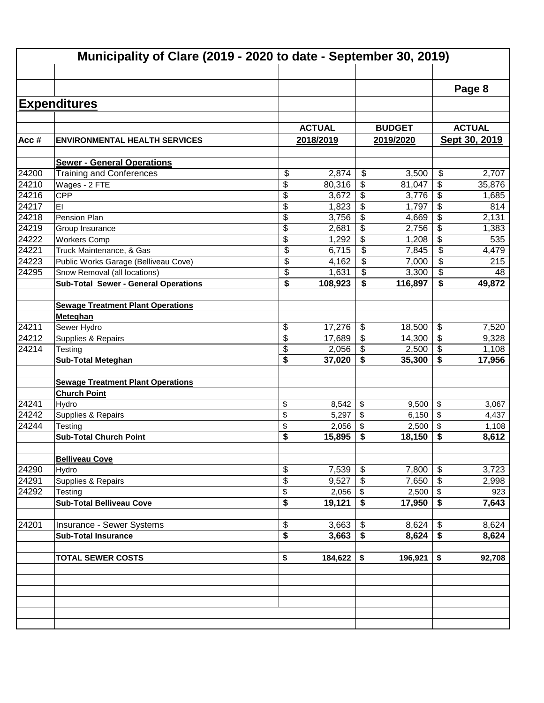|                | Municipality of Clare (2019 - 2020 to date - September 30, 2019) |          |                 |                                        |                |          |                |  |  |
|----------------|------------------------------------------------------------------|----------|-----------------|----------------------------------------|----------------|----------|----------------|--|--|
|                |                                                                  |          |                 |                                        |                |          |                |  |  |
|                |                                                                  |          |                 |                                        |                |          | Page 8         |  |  |
|                | <b>Expenditures</b>                                              |          |                 |                                        |                |          |                |  |  |
|                |                                                                  |          |                 |                                        |                |          |                |  |  |
|                |                                                                  |          | <b>ACTUAL</b>   |                                        | <b>BUDGET</b>  |          | <b>ACTUAL</b>  |  |  |
| Acc#           | <b>ENVIRONMENTAL HEALTH SERVICES</b>                             |          | 2018/2019       |                                        | 2019/2020      |          | Sept 30, 2019  |  |  |
|                | <b>Sewer - General Operations</b>                                |          |                 |                                        |                |          |                |  |  |
| 24200          | <b>Training and Conferences</b>                                  | \$       | 2,874           | \$                                     | 3,500          | \$       | 2,707          |  |  |
| 24210          | Wages - 2 FTE                                                    | \$       | 80,316          | \$                                     | 81,047         | \$       | 35,876         |  |  |
| 24216          | <b>CPP</b>                                                       | \$       | 3,672           | \$                                     | 3,776          | \$       | 1,685          |  |  |
| 24217          | EI                                                               | \$       | 1,823           | \$                                     | 1,797          | \$       | 814            |  |  |
| 24218          | Pension Plan                                                     | \$       | 3,756           | \$                                     | 4,669          | \$       | 2,131          |  |  |
| 24219          | Group Insurance                                                  | \$       | 2,681           | \$                                     | 2,756          | \$       | 1,383          |  |  |
| 24222          | <b>Workers Comp</b>                                              | \$       | 1,292           | \$                                     | 1,208          | \$       | 535            |  |  |
| 24221          | Truck Maintenance, & Gas                                         | \$       | 6,715           | $\overline{\$}$                        | 7,845          | \$       | 4,479          |  |  |
| 24223          | Public Works Garage (Belliveau Cove)                             | \$       | 4,162           | \$                                     | 7,000          | \$       | 215            |  |  |
| 24295          | Snow Removal (all locations)                                     | \$       | 1,631           | $\boldsymbol{\mathsf{S}}$              | 3,300          | \$       | 48             |  |  |
|                | <b>Sub-Total Sewer - General Operations</b>                      | \$       | 108,923         | $\overline{\boldsymbol{\mathfrak{s}}}$ | 116,897        | \$       | 49,872         |  |  |
|                |                                                                  |          |                 |                                        |                |          |                |  |  |
|                | <b>Sewage Treatment Plant Operations</b>                         |          |                 |                                        |                |          |                |  |  |
|                | Meteghan                                                         |          |                 |                                        |                |          |                |  |  |
| 24211          | Sewer Hydro                                                      | \$       | 17,276          | \$                                     | 18,500         | \$       | 7,520          |  |  |
| $\sqrt{24212}$ | Supplies & Repairs                                               | \$       | 17,689          | $\boldsymbol{\mathsf{S}}$              | 14,300         | \$       | 9,328          |  |  |
| 24214          | Testing                                                          | \$       | 2,056           | $\overline{\$}$                        | 2,500          | \$       | 1,108          |  |  |
|                | <b>Sub-Total Meteghan</b>                                        | \$       | 37,020          | \$                                     | 35,300         | \$       | 17,956         |  |  |
|                |                                                                  |          |                 |                                        |                |          |                |  |  |
|                | <b>Sewage Treatment Plant Operations</b>                         |          |                 |                                        |                |          |                |  |  |
|                | <b>Church Point</b>                                              |          |                 |                                        |                |          |                |  |  |
| 24241<br>24242 | Hydro                                                            | \$       | 8,542           | \$                                     | 9,500          | \$       | 3,067          |  |  |
| 24244          | Supplies & Repairs                                               | \$<br>\$ | 5,297           | \$<br>\$                               | 6,150<br>2,500 | \$<br>\$ | 4,437          |  |  |
|                | Testing<br><b>Sub-Total Church Point</b>                         | \$       | 2,056<br>15,895 | \$                                     | 18,150         | \$       | 1,108<br>8,612 |  |  |
|                |                                                                  |          |                 |                                        |                |          |                |  |  |
|                | <b>Belliveau Cove</b>                                            |          |                 |                                        |                |          |                |  |  |
| 24290          | Hydro                                                            | \$       | 7,539           | \$                                     | 7,800          | \$       | 3,723          |  |  |
| 24291          | Supplies & Repairs                                               | \$       | 9,527           | $\boldsymbol{\mathsf{S}}$              | 7,650          | \$       | 2,998          |  |  |
| 24292          | Testing                                                          | \$       | 2,056           | \$                                     | 2,500          | \$       | 923            |  |  |
|                | <b>Sub-Total Belliveau Cove</b>                                  | \$       | 19,121          | \$                                     | 17,950         | \$       | 7,643          |  |  |
|                |                                                                  |          |                 |                                        |                |          |                |  |  |
| 24201          | Insurance - Sewer Systems                                        | \$       | 3,663           | \$                                     | 8,624          | \$       | 8,624          |  |  |
|                | <b>Sub-Total Insurance</b>                                       | \$       | 3,663           | \$                                     | 8,624          | \$       | 8,624          |  |  |
|                |                                                                  |          |                 |                                        |                |          |                |  |  |
|                | <b>TOTAL SEWER COSTS</b>                                         | \$       | 184,622         | \$                                     | 196,921        | \$       | 92,708         |  |  |
|                |                                                                  |          |                 |                                        |                |          |                |  |  |
|                |                                                                  |          |                 |                                        |                |          |                |  |  |
|                |                                                                  |          |                 |                                        |                |          |                |  |  |
|                |                                                                  |          |                 |                                        |                |          |                |  |  |
|                |                                                                  |          |                 |                                        |                |          |                |  |  |
|                |                                                                  |          |                 |                                        |                |          |                |  |  |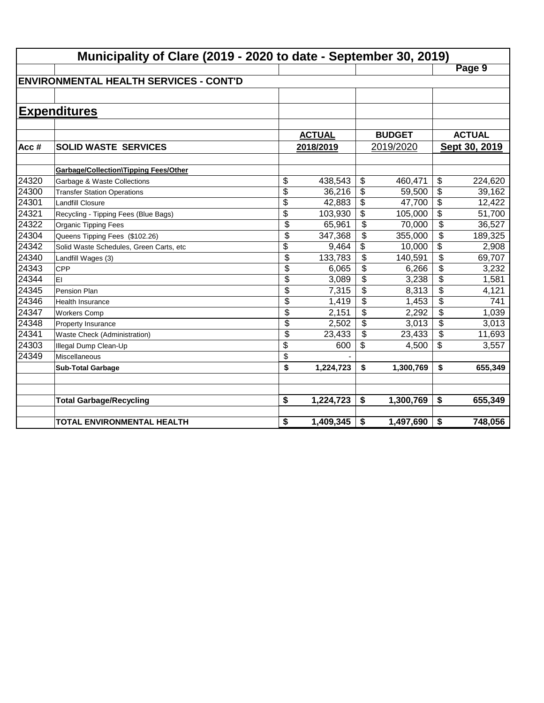|       | Municipality of Clare (2019 - 2020 to date - September 30, 2019) |                 |               |                          |               |                          |               |  |  |
|-------|------------------------------------------------------------------|-----------------|---------------|--------------------------|---------------|--------------------------|---------------|--|--|
|       |                                                                  |                 |               |                          |               |                          | Page 9        |  |  |
|       | <b>IENVIRONMENTAL HEALTH SERVICES - CONT'D</b>                   |                 |               |                          |               |                          |               |  |  |
|       |                                                                  |                 |               |                          |               |                          |               |  |  |
|       | <b>Expenditures</b>                                              |                 |               |                          |               |                          |               |  |  |
|       |                                                                  |                 |               |                          |               |                          |               |  |  |
|       |                                                                  |                 | <b>ACTUAL</b> |                          | <b>BUDGET</b> |                          | <b>ACTUAL</b> |  |  |
| Acc#  | <b>SOLID WASTE SERVICES</b>                                      |                 | 2018/2019     |                          | 2019/2020     |                          | Sept 30, 2019 |  |  |
|       |                                                                  |                 |               |                          |               |                          |               |  |  |
|       | <b>Garbage/Collection\Tipping Fees/Other</b>                     |                 |               |                          |               |                          |               |  |  |
| 24320 | Garbage & Waste Collections                                      | \$              | 438,543       | \$                       | 460,471       | \$                       | 224,620       |  |  |
| 24300 | <b>Transfer Station Operations</b>                               | \$              | 36,216        | \$                       | 59,500        | $\overline{\$}$          | 39,162        |  |  |
| 24301 | <b>Landfill Closure</b>                                          | \$              | 42,883        | \$                       | 47,700        | \$                       | 12,422        |  |  |
| 24321 | Recycling - Tipping Fees (Blue Bags)                             | $\overline{\$}$ | 103,930       | \$                       | 105,000       | $\overline{\$}$          | 51,700        |  |  |
| 24322 | Organic Tipping Fees                                             | \$              | 65,961        | $\overline{\mathcal{L}}$ | 70,000        | $\overline{\mathcal{L}}$ | 36,527        |  |  |
| 24304 | Queens Tipping Fees (\$102.26)                                   | $\overline{\$}$ | 347,368       | $\overline{\mathcal{L}}$ | 355,000       | $\overline{\mathcal{L}}$ | 189,325       |  |  |
| 24342 | Solid Waste Schedules, Green Carts, etc                          | \$              | 9,464         | \$                       | 10,000        | $\overline{\mathcal{L}}$ | 2,908         |  |  |
| 24340 | Landfill Wages (3)                                               | $\overline{\$}$ | 133,783       | \$                       | 140,591       | \$                       | 69,707        |  |  |
| 24343 | <b>CPP</b>                                                       | \$              | 6,065         | \$                       | 6,266         | \$                       | 3,232         |  |  |
| 24344 | EI                                                               | \$              | 3,089         | \$                       | 3,238         | \$                       | 1,581         |  |  |
| 24345 | Pension Plan                                                     | \$              | 7,315         | \$                       | 8,313         | \$                       | 4,121         |  |  |
| 24346 | <b>Health Insurance</b>                                          | \$              | 1,419         | \$                       | 1,453         | \$                       | 741           |  |  |
| 24347 | <b>Workers Comp</b>                                              | \$              | 2,151         | \$                       | 2,292         | \$                       | 1,039         |  |  |
| 24348 | Property Insurance                                               | \$              | 2,502         | \$                       | 3,013         | \$                       | 3,013         |  |  |
| 24341 | Waste Check (Administration)                                     | \$              | 23,433        | \$                       | 23,433        | \$                       | 11,693        |  |  |
| 24303 | Illegal Dump Clean-Up                                            | \$              | 600           | \$                       | 4,500         | \$                       | 3,557         |  |  |
| 24349 | Miscellaneous                                                    | \$              |               |                          |               |                          |               |  |  |
|       | <b>Sub-Total Garbage</b>                                         | \$              | 1,224,723     | \$                       | 1,300,769     | \$                       | 655,349       |  |  |
|       |                                                                  |                 |               |                          |               |                          |               |  |  |
|       | <b>Total Garbage/Recycling</b>                                   | \$              | 1,224,723     | \$                       | 1,300,769     | \$                       | 655,349       |  |  |
|       |                                                                  |                 |               |                          |               |                          |               |  |  |
|       | TOTAL ENVIRONMENTAL HEALTH                                       | \$              | 1,409,345     | \$                       | 1,497,690     | \$                       | 748,056       |  |  |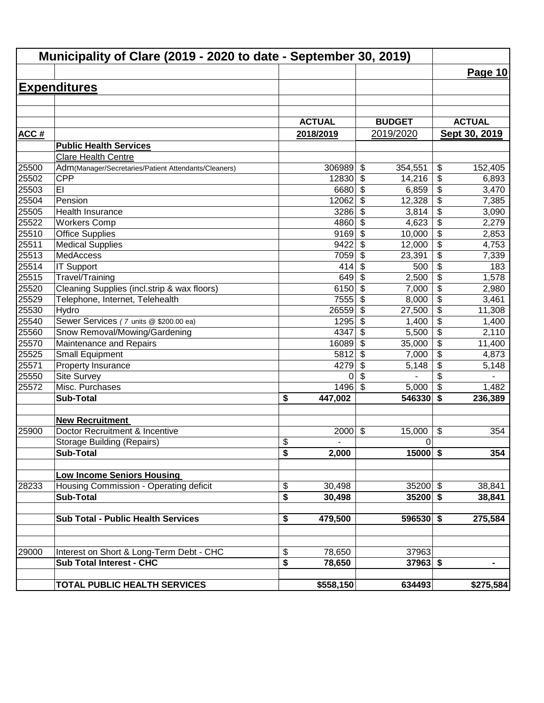|                | Municipality of Clare (2019 - 2020 to date - September 30, 2019) |                                                |                                                                 |                                           |
|----------------|------------------------------------------------------------------|------------------------------------------------|-----------------------------------------------------------------|-------------------------------------------|
|                |                                                                  |                                                |                                                                 | Page 10                                   |
|                | <b>Expenditures</b>                                              |                                                |                                                                 |                                           |
|                |                                                                  |                                                |                                                                 |                                           |
|                |                                                                  |                                                |                                                                 |                                           |
|                |                                                                  | <b>ACTUAL</b>                                  | <b>BUDGET</b>                                                   | <b>ACTUAL</b>                             |
| <b>ACC#</b>    |                                                                  | 2018/2019                                      | 2019/2020                                                       | Sept 30, 2019                             |
|                | <b>Public Health Services</b>                                    |                                                |                                                                 |                                           |
|                | Clare Health Centre                                              |                                                |                                                                 |                                           |
| 25500          | Adm(Manager/Secretaries/Patient Attendants/Cleaners)             | 306989                                         | \$<br>354,551                                                   | \$<br>152,405                             |
| 25502          | <b>CPP</b>                                                       | 12830                                          | \$<br>14,216                                                    | \$<br>6,893                               |
| 25503          | EI                                                               | 6680                                           | $\boldsymbol{\mathsf{S}}$<br>6,859                              | \$<br>3,470                               |
| 25504          | Pension                                                          | 12062                                          | $\boldsymbol{\mathsf{S}}$<br>12,328                             | \$<br>7,385                               |
| 25505          | Health Insurance                                                 | 3286                                           | $\boldsymbol{\mathsf{S}}$<br>3,814                              | $\overline{\boldsymbol{\theta}}$<br>3,090 |
| 25522          | <b>Workers Comp</b>                                              | 4860                                           | $\overline{\mathcal{S}}$<br>4,623                               | $\overline{\$}$<br>2,279                  |
| 25510          | <b>Office Supplies</b>                                           | 9169                                           | $\boldsymbol{\mathsf{S}}$<br>10,000                             | $\overline{\$}$<br>2,853                  |
| 25511          | <b>Medical Supplies</b>                                          | 9422                                           | $\overline{\mathcal{S}}$<br>12,000                              | $\overline{\$}$<br>4,753                  |
| 25513          | MedAccess                                                        | 7059                                           | $\boldsymbol{\mathsf{S}}$<br>23,391                             | $\overline{\$}$<br>7,339                  |
| 25514          | <b>IT Support</b>                                                | 414                                            | $\boldsymbol{\mathsf{S}}$<br>500                                | $\overline{\$}$<br>183                    |
| 25515          | Travel/Training                                                  | 649                                            | $\boldsymbol{\mathsf{S}}$<br>2,500                              | $\overline{\$}$<br>1,578                  |
| 25520          | Cleaning Supplies (incl.strip & wax floors)                      | 6150                                           | \$<br>7,000                                                     | $\overline{\$}$<br>2,980                  |
| 25529          | Telephone, Internet, Telehealth                                  | 7555                                           | \$<br>8,000                                                     | \$<br>3,461                               |
| 25530          | Hydro                                                            | 26559                                          | \$<br>27,500                                                    | \$<br>11,308                              |
| 25540          | Sewer Services (7 units @ \$200.00 ea)                           | 1295                                           | $\boldsymbol{\mathsf{S}}$<br>1,400                              | $\overline{\mathcal{L}}$<br>1,400         |
| 25560          | Snow Removal/Mowing/Gardening                                    | 4347                                           | $\boldsymbol{\mathsf{S}}$<br>5,500                              | $\overline{\mathcal{L}}$<br>2,110         |
| 25570          | Maintenance and Repairs                                          | 16089                                          | $\boldsymbol{\mathsf{S}}$<br>35,000                             | \$<br>11,400                              |
| 25525<br>25571 | <b>Small Equipment</b>                                           | 5812<br>4279                                   | $\boldsymbol{\mathsf{S}}$<br>7,000<br>$\boldsymbol{\mathsf{S}}$ | \$<br>4,873<br>5,148                      |
| 25550          | Property Insurance<br>Site Survey                                | 0                                              | 5,148<br>$\boldsymbol{\mathsf{S}}$                              | \$<br>\$                                  |
| 25572          | Misc. Purchases                                                  | 1496                                           | $\mathfrak{S}$<br>5,000                                         | $\boldsymbol{\mathsf{S}}$<br>1,482        |
|                | <b>Sub-Total</b>                                                 | \$<br>447,002                                  | 546330                                                          | \$<br>236,389                             |
|                |                                                                  |                                                |                                                                 |                                           |
|                | <b>New Recruitment</b>                                           |                                                |                                                                 |                                           |
| 25900          | Doctor Recruitment & Incentive                                   | 2000                                           | $\boldsymbol{\mathsf{S}}$<br>15,000                             | \$<br>354                                 |
|                | <b>Storage Building (Repairs)</b>                                | \$                                             | $\mathbf 0$                                                     |                                           |
|                | <b>Sub-Total</b>                                                 | $\overline{\bullet}$<br>2,000                  | $15000$ \$                                                      | 354                                       |
|                |                                                                  |                                                |                                                                 |                                           |
|                | <b>Low Income Seniors Housing</b>                                |                                                |                                                                 |                                           |
| 28233          | Housing Commission - Operating deficit                           | \$<br>30,498                                   | $35200$ \$                                                      | 38,841                                    |
|                | <b>Sub-Total</b>                                                 | $\overline{\boldsymbol{\mathsf{s}}}$<br>30,498 | $35200$ \$                                                      | 38,841                                    |
|                | <b>Sub Total - Public Health Services</b>                        | 479,500<br>\$                                  | $596530$ \$                                                     | 275,584                                   |
|                |                                                                  |                                                |                                                                 |                                           |
|                |                                                                  |                                                |                                                                 |                                           |
| 29000          | Interest on Short & Long-Term Debt - CHC                         | \$<br>78,650                                   | 37963                                                           |                                           |
|                | <b>Sub Total Interest - CHC</b>                                  | \$<br>78,650                                   | $37963$ \$                                                      | -                                         |
|                | <b>TOTAL PUBLIC HEALTH SERVICES</b>                              | \$558,150                                      | 634493                                                          | \$275,584                                 |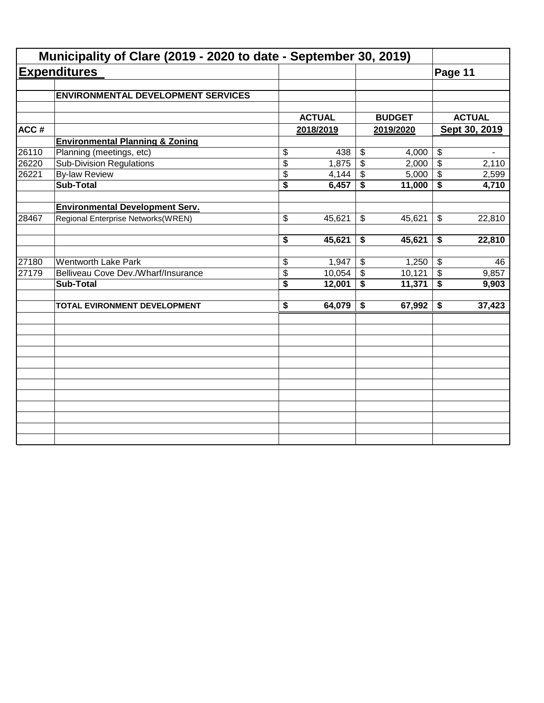|       | Municipality of Clare (2019 - 2020 to date - September 30, 2019) |                                      |               |                 |               |                            |               |
|-------|------------------------------------------------------------------|--------------------------------------|---------------|-----------------|---------------|----------------------------|---------------|
|       | <b>Expenditures</b>                                              |                                      |               |                 |               | Page 11                    |               |
|       | <b>ENVIRONMENTAL DEVELOPMENT SERVICES</b>                        |                                      |               |                 |               |                            |               |
|       |                                                                  |                                      | <b>ACTUAL</b> |                 | <b>BUDGET</b> |                            | <b>ACTUAL</b> |
| ACC#  |                                                                  |                                      | 2018/2019     |                 | 2019/2020     |                            | Sept 30, 2019 |
|       | <b>Environmental Planning &amp; Zoning</b>                       |                                      |               |                 |               |                            |               |
| 26110 | Planning (meetings, etc)                                         | \$                                   | 438           | \$              | 4,000         | $\boldsymbol{\theta}$      |               |
| 26220 | <b>Sub-Division Regulations</b>                                  | \$                                   | 1,875         | $\overline{\$}$ | 2,000         | $\boldsymbol{\mathsf{S}}$  | 2,110         |
| 26221 | <b>By-law Review</b>                                             | \$                                   | 4,144         | \$              | 5,000         | $\boldsymbol{\mathcal{F}}$ | 2,599         |
|       | <b>Sub-Total</b>                                                 | $\overline{\$}$                      | 6,457         | \$              | 11,000        | \$                         | 4,710         |
|       | <b>Environmental Development Serv.</b>                           |                                      |               |                 |               |                            |               |
| 28467 | Regional Enterprise Networks(WREN)                               | \$                                   | 45,621        | \$              | 45,621        | \$                         | 22,810        |
|       |                                                                  | \$                                   | 45,621        | \$              | 45,621        | \$                         | 22,810        |
| 27180 | <b>Wentworth Lake Park</b>                                       | \$                                   | 1,947         | \$              | 1,250         | $\sqrt[6]{3}$              | 46            |
| 27179 | Belliveau Cove Dev./Wharf/Insurance                              | \$                                   | 10,054        | $\mathfrak{S}$  | 10,121        | $\boldsymbol{\mathsf{S}}$  | 9,857         |
|       | <b>Sub-Total</b>                                                 | $\overline{\boldsymbol{\mathsf{s}}}$ | 12,001        | \$              | 11,371        | $\overline{\bullet}$       | 9,903         |
|       | TOTAL EVIRONMENT DEVELOPMENT                                     | $\overline{\boldsymbol{\mathsf{s}}}$ | 64,079        | \$              | 67,992        | \$                         | 37,423        |
|       |                                                                  |                                      |               |                 |               |                            |               |
|       |                                                                  |                                      |               |                 |               |                            |               |
|       |                                                                  |                                      |               |                 |               |                            |               |
|       |                                                                  |                                      |               |                 |               |                            |               |
|       |                                                                  |                                      |               |                 |               |                            |               |
|       |                                                                  |                                      |               |                 |               |                            |               |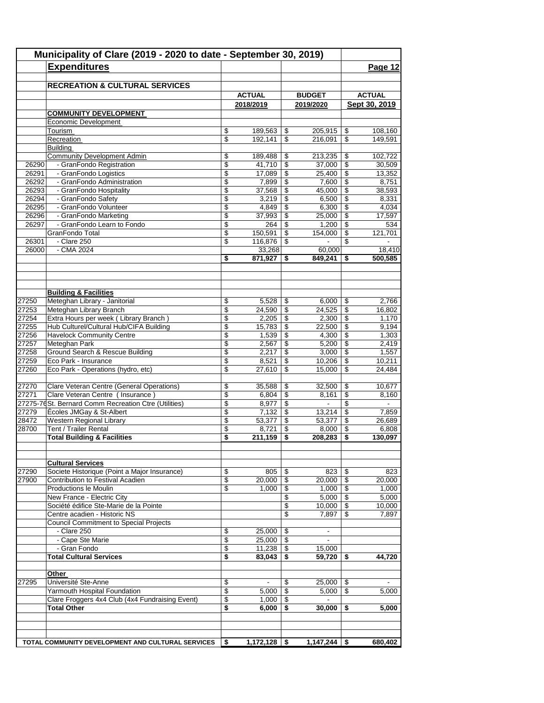|                | Municipality of Clare (2019 - 2020 to date - September 30, 2019)<br><b>Expenditures</b> |                 |                |                 |                          |                                      | Page 12         |
|----------------|-----------------------------------------------------------------------------------------|-----------------|----------------|-----------------|--------------------------|--------------------------------------|-----------------|
|                | <b>RECREATION &amp; CULTURAL SERVICES</b>                                               |                 |                |                 |                          |                                      |                 |
|                |                                                                                         |                 | <b>ACTUAL</b>  |                 | <b>BUDGET</b>            |                                      | <b>ACTUAL</b>   |
|                |                                                                                         |                 | 2018/2019      |                 | 2019/2020                |                                      | Sept 30, 2019   |
|                | <b>COMMUNITY DEVELOPMENT</b><br>Economic Development                                    |                 |                |                 |                          |                                      |                 |
|                | Tourism                                                                                 | \$              | 189,563        | \$              | 205,915                  | \$                                   | 108,160         |
|                | Recreation                                                                              | \$              | 192,141        | \$              | 216,091                  | \$                                   | 149.591         |
|                | <b>Building</b>                                                                         |                 |                |                 |                          |                                      |                 |
|                | <b>Community Development Admin</b>                                                      | \$              | 189.488        | \$              | 213.235                  | \$                                   | 102,722         |
| 26290          | - GranFondo Registration                                                                | \$              | 41,710         | $\overline{\$}$ | 37,000                   | $\overline{\mathcal{S}}$             | 30,509          |
| 26291          | - GranFondo Logistics                                                                   | \$              | 17,089         | \$              | 25,400                   | \$                                   | 13,352          |
| 26292          | - GranFondo Administration                                                              | \$              | 7,899          | \$              | 7,600                    | \$                                   | 8,751           |
| 26293          | - GranFondo Hospitality                                                                 | \$              | 37,568         | \$              | 45,000                   | \$                                   | 38,593          |
| 26294          | - GranFondo Safety                                                                      | \$              | 3,219          | \$              | 6,500                    | \$                                   | 8,331           |
| 26295          | - GranFondo Volunteer                                                                   | \$              | 4,849          | \$              | 6,300                    | \$                                   | 4,034           |
| 26296          | - GranFondo Marketing                                                                   | \$              | 37,993         | \$              | 25,000                   | \$                                   | 17,597          |
| 26297          | - GranFondo Learn to Fondo                                                              | \$              | 264            | \$              | 1,200                    | \$                                   | 534             |
|                | GranFondo Total                                                                         | \$              | 150,591        | \$              | 154,000                  | \$                                   | 121,701         |
| 26301          | - Clare 250                                                                             | \$              | 116,876        | \$              |                          | \$                                   |                 |
| 26000          | - CMA 2024                                                                              |                 | 33,268         |                 | 60,000                   |                                      | 18,410          |
|                |                                                                                         | \$              | 871,927        | \$              | 849.241                  | \$                                   | 500,585         |
|                |                                                                                         |                 |                |                 |                          |                                      |                 |
|                | <b>Building &amp; Facilities</b>                                                        |                 |                |                 |                          |                                      |                 |
| 27250          | Meteghan Library - Janitorial                                                           | \$              | 5,528          | \$              | 6,000                    | \$                                   | 2,766           |
| 27253          | Meteghan Library Branch                                                                 | \$              | 24,590         | \$              | 24,525                   | \$                                   | 16,802          |
| 27254          | Extra Hours per week (Library Branch)                                                   | \$              | 2,205          | \$              | 2,300                    | \$                                   | 1,170           |
| 27255          | Hub Culturel/Cultural Hub/CIFA Building                                                 | \$              | 15,783         | \$              | 22,500                   | \$                                   | 9,194           |
| 27256          | <b>Havelock Community Centre</b>                                                        | \$              | 1,539          | \$              | 4,300                    | \$                                   | 1,303           |
| 27257          | Meteghan Park                                                                           | \$              | 2,567          | \$<br>\$        | 5,200                    | \$                                   | 2,419           |
| 27258<br>27259 | Ground Search & Rescue Building<br>Eco Park - Insurance                                 | \$<br>\$        | 2,217<br>8,521 | \$              | 3,000<br>10,206          | \$<br>\$                             | 1,557<br>10,211 |
| 27260          | Eco Park - Operations (hydro, etc)                                                      | \$              | 27,610         | \$              | 15,000                   | \$                                   | 24,484          |
|                |                                                                                         |                 |                |                 |                          |                                      |                 |
| 27270          | Clare Veteran Centre (General Operations)                                               | \$              | 35,588         | \$              | 32,500                   | \$                                   | 10,677          |
| 27271          | Clare Veteran Centre (Insurance)                                                        | \$              | 6,804          | \$              | 8,161                    | \$                                   | 8.160           |
|                | 27275-76 St. Bernard Comm Recreation Ctre (Utilities)                                   | \$              | 8,977          | \$              | $\blacksquare$           | \$                                   |                 |
| 27279          | Écoles JMGay & St-Albert                                                                | \$              | 7,132          | \$              | 13,214                   | $\overline{\boldsymbol{\mathsf{s}}}$ | 7,859           |
| 28472          | Western Regional Library                                                                | \$              | 53,377         | \$              | 53,377                   | \$                                   | 26,689          |
| 28700          | Tent / Trailer Rental                                                                   | \$              | 8,721          | \$              | 8,000                    | \$                                   | 6,808           |
|                | <b>Total Building &amp; Facilities</b>                                                  | \$              | 211,159        | \$              | 208,283                  | \$                                   | 130,097         |
|                | <b>Cultural Services</b>                                                                |                 |                |                 |                          |                                      |                 |
| 27290          | Societe Historique (Point a Major Insurance)                                            | \$              | 805            | \$              | 823                      | -\$                                  | 823             |
| 27900          | Contribution to Festival Acadien                                                        | \$              | 20,000         | \$              | 20,000                   | \$                                   | 20,000          |
|                | Productions le Moulin                                                                   | \$              | 1,000          | \$              | 1,000                    | \$                                   | 1,000           |
|                | New France - Electric City                                                              |                 |                | \$              | 5,000                    | \$                                   | 5,000           |
|                | Société édifice Ste-Marie de la Pointe                                                  |                 |                | \$              | 10,000                   | \$                                   | 10.000          |
|                | Centre acadien - Historic NS                                                            |                 |                | \$              | 7,897                    | \$                                   | 7,897           |
|                | <b>Council Commitment to Special Projects</b>                                           |                 |                |                 |                          |                                      |                 |
|                | - Clare 250                                                                             | \$              | 25,000         | \$              | $\overline{\phantom{a}}$ |                                      |                 |
|                | - Cape Ste Marie                                                                        | \$              | 25,000         | \$              |                          |                                      |                 |
|                | - Gran Fondo                                                                            | \$              | 11,238         | \$              | 15,000                   |                                      |                 |
|                | <b>Total Cultural Services</b>                                                          | \$              | 83,043         | \$              | 59,720                   | \$                                   | 44,720          |
|                | Other                                                                                   |                 |                |                 |                          |                                      |                 |
| 27295          | Université Ste-Anne                                                                     | \$              |                | \$              | 25,000                   | \$                                   |                 |
|                | Yarmouth Hospital Foundation                                                            | $\overline{\$}$ | 5,000          | \$              | 5,000                    | \$                                   | 5,000           |
|                | Clare Froggers 4x4 Club (4x4 Fundraising Event)                                         | \$              | 1,000          | \$              | $\blacksquare$           |                                      |                 |
|                | <b>Total Other</b>                                                                      | \$              | 6,000          | \$              | 30,000                   | \$                                   | 5,000           |
|                |                                                                                         |                 |                |                 |                          |                                      |                 |
|                |                                                                                         |                 |                |                 |                          |                                      |                 |
|                | TOTAL COMMUNITY DEVELOPMENT AND CULTURAL SERVICES                                       | \$              |                |                 | 1,147,244                | \$                                   | 680,402         |
|                |                                                                                         |                 |                |                 |                          |                                      |                 |